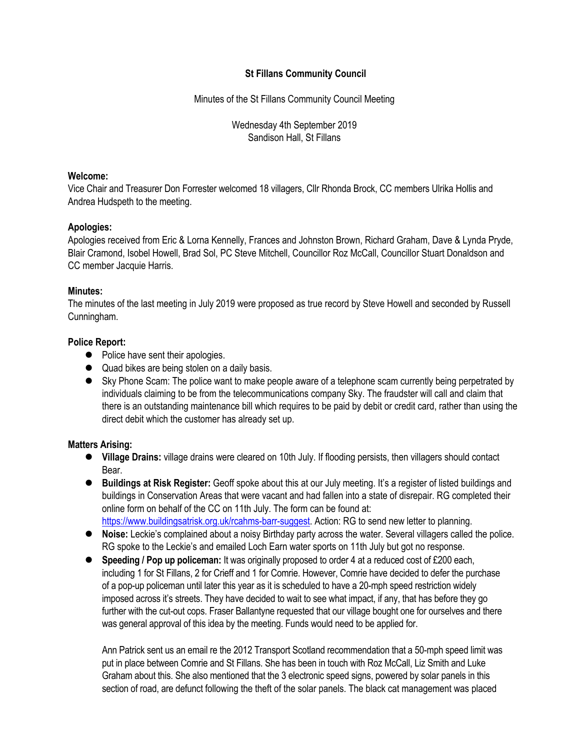## **St Fillans Community Council**

Minutes of the St Fillans Community Council Meeting

Wednesday 4th September 2019 Sandison Hall, St Fillans

#### **Welcome:**

Vice Chair and Treasurer Don Forrester welcomed 18 villagers, Cllr Rhonda Brock, CC members Ulrika Hollis and Andrea Hudspeth to the meeting.

## **Apologies:**

Apologies received from Eric & Lorna Kennelly, Frances and Johnston Brown, Richard Graham, Dave & Lynda Pryde, Blair Cramond, Isobel Howell, Brad Sol, PC Steve Mitchell, Councillor Roz McCall, Councillor Stuart Donaldson and CC member Jacquie Harris.

## **Minutes:**

The minutes of the last meeting in July 2019 were proposed as true record by Steve Howell and seconded by Russell Cunningham.

## **Police Report:**

- Police have sent their apologies.
- $\bullet$  Quad bikes are being stolen on a daily basis.
- Sky Phone Scam: The police want to make people aware of a telephone scam currently being perpetrated by individuals claiming to be from the telecommunications company Sky. The fraudster will call and claim that there is an outstanding maintenance bill which requires to be paid by debit or credit card, rather than using the direct debit which the customer has already set up.

# **Matters Arising:**

- l **Village Drains:** village drains were cleared on 10th July. If flooding persists, then villagers should contact Bear.
- l **Buildings at Risk Register:** Geoff spoke about this at our July meeting. It's a register of listed buildings and buildings in Conservation Areas that were vacant and had fallen into a state of disrepair. RG completed their online form on behalf of the CC on 11th July. The form can be found at: https://www.buildingsatrisk.org.uk/rcahms-barr-suggest. Action: RG to send new letter to planning.
- **Noise:** Leckie's complained about a noisy Birthday party across the water. Several villagers called the police. RG spoke to the Leckie's and emailed Loch Earn water sports on 11th July but got no response.
- **•** Speeding / Pop up policeman: It was originally proposed to order 4 at a reduced cost of £200 each, including 1 for St Fillans, 2 for Crieff and 1 for Comrie. However, Comrie have decided to defer the purchase of a pop-up policeman until later this year as it is scheduled to have a 20-mph speed restriction widely imposed across it's streets. They have decided to wait to see what impact, if any, that has before they go further with the cut-out cops. Fraser Ballantyne requested that our village bought one for ourselves and there was general approval of this idea by the meeting. Funds would need to be applied for.

Ann Patrick sent us an email re the 2012 Transport Scotland recommendation that a 50-mph speed limit was put in place between Comrie and St Fillans. She has been in touch with Roz McCall, Liz Smith and Luke Graham about this. She also mentioned that the 3 electronic speed signs, powered by solar panels in this section of road, are defunct following the theft of the solar panels. The black cat management was placed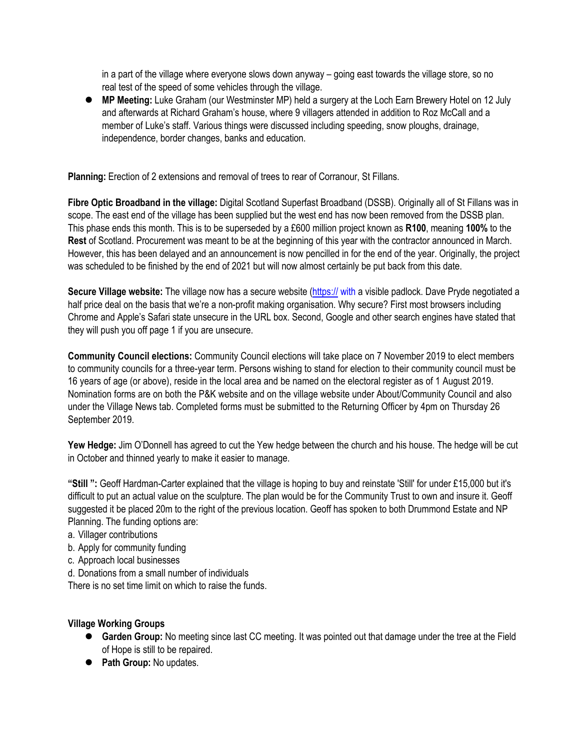in a part of the village where everyone slows down anyway – going east towards the village store, so no real test of the speed of some vehicles through the village.

● MP Meeting: Luke Graham (our Westminster MP) held a surgery at the Loch Earn Brewery Hotel on 12 July and afterwards at Richard Graham's house, where 9 villagers attended in addition to Roz McCall and a member of Luke's staff. Various things were discussed including speeding, snow ploughs, drainage, independence, border changes, banks and education.

**Planning:** Erection of 2 extensions and removal of trees to rear of Corranour, St Fillans.

**Fibre Optic Broadband in the village:** Digital Scotland Superfast Broadband (DSSB). Originally all of St Fillans was in scope. The east end of the village has been supplied but the west end has now been removed from the DSSB plan. This phase ends this month. This is to be superseded by a £600 million project known as **R100**, meaning **100%** to the **Rest** of Scotland. Procurement was meant to be at the beginning of this year with the contractor announced in March. However, this has been delayed and an announcement is now pencilled in for the end of the year. Originally, the project was scheduled to be finished by the end of 2021 but will now almost certainly be put back from this date.

**Secure Village website:** The village now has a secure website (https:// with a visible padlock. Dave Pryde negotiated a half price deal on the basis that we're a non-profit making organisation. Why secure? First most browsers including Chrome and Apple's Safari state unsecure in the URL box. Second, Google and other search engines have stated that they will push you off page 1 if you are unsecure.

**Community Council elections:** Community Council elections will take place on 7 November 2019 to elect members to community councils for a three-year term. Persons wishing to stand for election to their community council must be 16 years of age (or above), reside in the local area and be named on the electoral register as of 1 August 2019. Nomination forms are on both the P&K website and on the village website under About/Community Council and also under the Village News tab. Completed forms must be submitted to the Returning Officer by 4pm on Thursday 26 September 2019.

**Yew Hedge:** Jim O'Donnell has agreed to cut the Yew hedge between the church and his house. The hedge will be cut in October and thinned yearly to make it easier to manage.

**"Still ":** Geoff Hardman-Carter explained that the village is hoping to buy and reinstate 'Still' for under £15,000 but it's difficult to put an actual value on the sculpture. The plan would be for the Community Trust to own and insure it. Geoff suggested it be placed 20m to the right of the previous location. Geoff has spoken to both Drummond Estate and NP Planning. The funding options are:

- a. Villager contributions
- b. Apply for community funding
- c. Approach local businesses
- d. Donations from a small number of individuals

There is no set time limit on which to raise the funds.

## **Village Working Groups**

- **Garden Group:** No meeting since last CC meeting. It was pointed out that damage under the tree at the Field of Hope is still to be repaired.
- **•** Path Group: No updates.